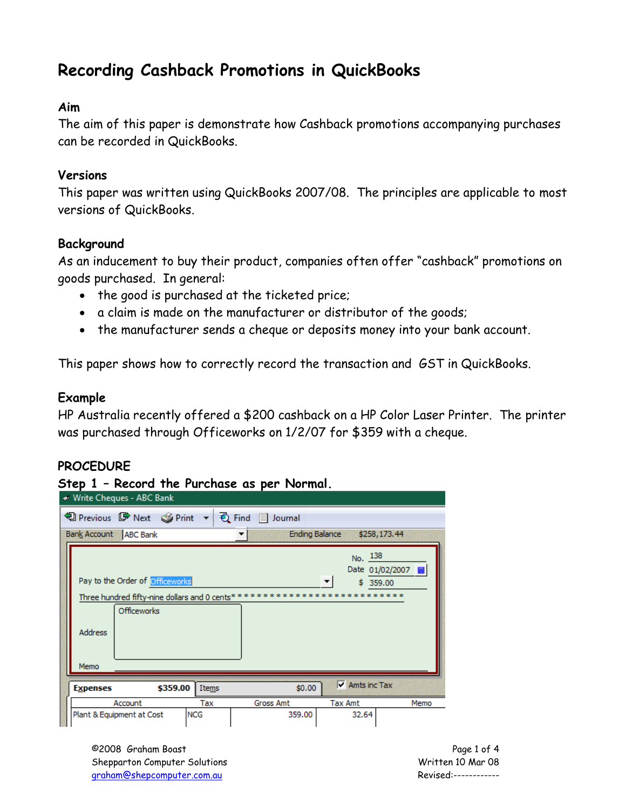# **Recording Cashback Promotions in QuickBooks**

#### **Aim**

The aim of this paper is demonstrate how Cashback promotions accompanying purchases can be recorded in QuickBooks.

#### **Versions**

This paper was written using QuickBooks 2007/08. The principles are applicable to most versions of QuickBooks.

#### **Background**

As an inducement to buy their product, companies often offer "cashback" promotions on goods purchased. In general:

- the good is purchased at the ticketed price;
- a claim is made on the manufacturer or distributor of the goods;
- the manufacturer sends a cheque or deposits money into your bank account.

This paper shows how to correctly record the transaction and GST in QuickBooks.

#### **Example**

HP Australia recently offered a \$200 cashback on a HP Color Laser Printer. The printer was purchased through Officeworks on 1/2/07 for \$359 with a cheque.

#### **PROCEDURE**

#### **Step 1 – Record the Purchase as per Normal.**

|      |                 | Write Cheques - ABC Bank                                                                                |            |                  |                               |                                     |  |  |  |
|------|-----------------|---------------------------------------------------------------------------------------------------------|------------|------------------|-------------------------------|-------------------------------------|--|--|--|
|      |                 | 19 Previous ■ Next SePrint ▼ { { Find     Journal                                                       |            |                  |                               |                                     |  |  |  |
|      |                 | Bank Account ABC Bank                                                                                   |            |                  | <b>Ending Balance</b>         | \$258,173.44                        |  |  |  |
|      |                 | Pay to the Order of Officeworks<br>Three hundred fifty-nine dollars and 0 cents**<br><b>Officeworks</b> |            |                  | No. 138<br>****************** | Date 01/02/2007        <br>\$359.00 |  |  |  |
|      | <b>Address</b>  |                                                                                                         |            |                  |                               |                                     |  |  |  |
| Memo |                 |                                                                                                         |            |                  |                               |                                     |  |  |  |
|      | <b>Expenses</b> | \$359.00                                                                                                | Items      | \$0.00           | $\triangledown$ Amts inc Tax  |                                     |  |  |  |
|      |                 | Account                                                                                                 | Tax        | <b>Gross Amt</b> | <b>Tax Amt</b>                | Memo                                |  |  |  |
|      |                 | Plant & Equipment at Cost                                                                               | <b>NCG</b> | 359.00           | 32.64                         |                                     |  |  |  |

©2008 Graham Boast Page 1 of 4 Shepparton Computer Solutions Notifiant Computer Solutions Notifiant Computer Solutions Note that Computer Solutions North Computer Solutions North Computer Solutions North Computer Solutions North Computer Solutions North graham@shepcomputer.com.au Revised:------------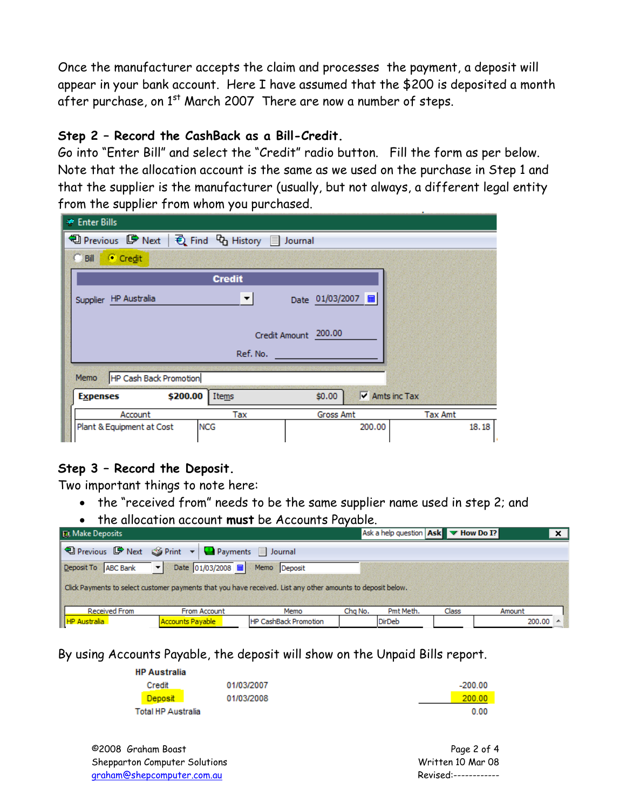Once the manufacturer accepts the claim and processes the payment, a deposit will appear in your bank account. Here I have assumed that the \$200 is deposited a month after purchase, on  $1<sup>st</sup>$  March 2007 There are now a number of steps.

#### **Step 2 – Record the CashBack as a Bill-Credit.**

Go into "Enter Bill" and select the "Credit" radio button. Fill the form as per below. Note that the allocation account is the same as we used on the purchase in Step 1 and that the supplier is the manufacturer (usually, but not always, a different legal entity from the supplier from whom you purchased.

| <b>● Enter Bills</b>                    |                                                        |                      |                                      |  |  |  |  |  |  |
|-----------------------------------------|--------------------------------------------------------|----------------------|--------------------------------------|--|--|--|--|--|--|
|                                         | <b>D</b> Previous ■ Next   2 Find Co History ■ Journal |                      |                                      |  |  |  |  |  |  |
| Credit<br>$C$ Bill                      |                                                        |                      |                                      |  |  |  |  |  |  |
|                                         | <b>Credit</b>                                          |                      |                                      |  |  |  |  |  |  |
| Supplier HP Australia                   | ▼                                                      | Date 01/03/2007 =    |                                      |  |  |  |  |  |  |
|                                         |                                                        | Credit Amount 200.00 |                                      |  |  |  |  |  |  |
|                                         | Ref. No.                                               |                      |                                      |  |  |  |  |  |  |
| HP Cash Back Promotion<br>Memo          |                                                        |                      |                                      |  |  |  |  |  |  |
| \$200.00<br><b>Expenses</b>             | Items                                                  | \$0.00               | $\overline{\mathsf{v}}$ Amts inc Tax |  |  |  |  |  |  |
| Account                                 | Tax                                                    | <b>Gross Amt</b>     | <b>Tax Amt</b>                       |  |  |  |  |  |  |
| <b>NCG</b><br>Plant & Equipment at Cost |                                                        | 200,00               | 18.18                                |  |  |  |  |  |  |

#### **Step 3 – Record the Deposit.**

Two important things to note here:

- the "received from" needs to be the same supplier name used in step 2; and
- the allocation account **must** be Accounts Payable.

| <b>TIL Make Deposits</b>                                                                                    |                                                            |                       |         | Ask a help question   Ask   Thow Do I? |       | $\mathbf{x}$         |  |  |  |
|-------------------------------------------------------------------------------------------------------------|------------------------------------------------------------|-----------------------|---------|----------------------------------------|-------|----------------------|--|--|--|
|                                                                                                             | 19 Previous ■ Next Sprint ▼ ■ Payments ■ Journal           |                       |         |                                        |       |                      |  |  |  |
| Deposit To ABC Bank                                                                                         | Date 01/03/2008 - Memo Deposit<br>$\vert \mathbf{v} \vert$ |                       |         |                                        |       |                      |  |  |  |
| Click Payments to select customer payments that you have received. List any other amounts to deposit below. |                                                            |                       |         |                                        |       |                      |  |  |  |
|                                                                                                             |                                                            |                       |         |                                        |       |                      |  |  |  |
| <b>Received From</b>                                                                                        | From Account                                               | Memo                  | Cha No. | Pmt Meth.                              | Class | Amount               |  |  |  |
| HP Australia                                                                                                | <b>Accounts Payable</b>                                    | HP CashBack Promotion |         | DirDeb                                 |       | $200.00$ $\triangle$ |  |  |  |

By using Accounts Payable, the deposit will show on the Unpaid Bills report.

| <b>HP Australia</b>       |            |           |
|---------------------------|------------|-----------|
| Credit                    | 01/03/2007 | $-200.00$ |
| Deposit                   | 01/03/2008 | 200.00    |
| <b>Total HP Australia</b> |            | 0.00      |

©2008 Graham Boast Page 2 of 4 Shepparton Computer Solutions and the Computer Solutions of the Computer Solutions of the Computer Solutions of the Computer Solutions of the Computer Solutions of the Computer Solutions of the Computer Solutions of the Co graham@shepcomputer.com.au Revised:------------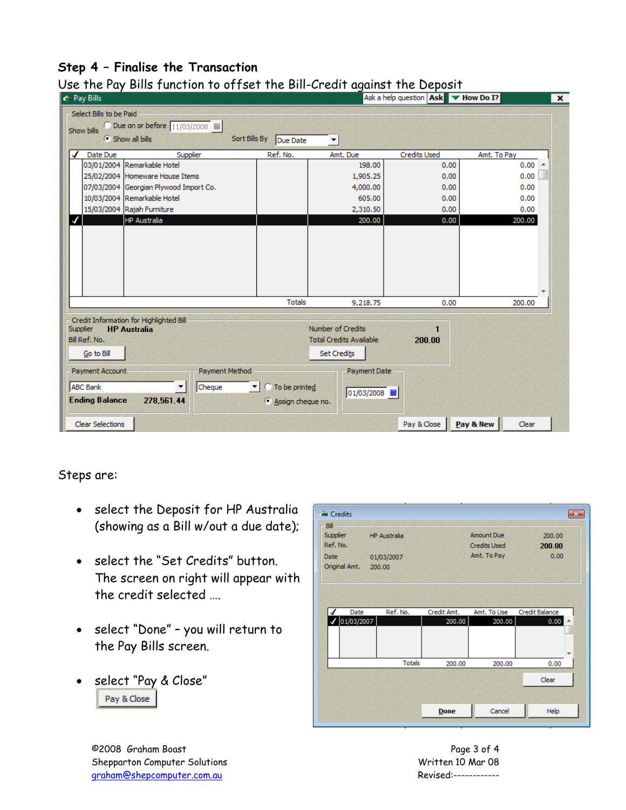### **Step 4 – Finalise the Transaction**

| <b>A</b> Pay Bills                        |                                                                |                           |                                                                           | Ask a help question   Ask   W How Do I? |             |  |  |
|-------------------------------------------|----------------------------------------------------------------|---------------------------|---------------------------------------------------------------------------|-----------------------------------------|-------------|--|--|
| Select Bills to be Paid<br>Show bills     | ○ Due on or before 11/03/2008 ■<br>Show all bills              | Sort Bills By<br>Due Date | $\blacktriangledown$                                                      |                                         |             |  |  |
| Date Due<br>✔                             | Supplier                                                       | Ref. No.                  | Amt. Due                                                                  | <b>Credits Used</b>                     | Amt. To Pay |  |  |
|                                           | 03/01/2004 Remarkable Hotel                                    |                           | 198.00                                                                    | 0.00                                    | 0.00        |  |  |
|                                           | 25/02/2004 Homeware House Items                                |                           | 1,905.25                                                                  | 0.00                                    | 0.00        |  |  |
|                                           | 07/03/2004 Georgian Plywood Import Co.                         |                           | 4,000.00                                                                  | 0.00                                    | 0.00        |  |  |
|                                           | 10/03/2004 Remarkable Hotel                                    |                           | 605.00                                                                    | 0.00                                    | 0.00        |  |  |
|                                           | 15/03/2004 Rajah Furniture                                     |                           | 2,310.50                                                                  | 0.00                                    | 0.00        |  |  |
|                                           | HP Australia                                                   |                           | 200.00                                                                    | 0.00                                    | 200.00      |  |  |
|                                           |                                                                |                           |                                                                           |                                         |             |  |  |
|                                           |                                                                | <b>Totals</b>             | 9.218.75                                                                  | 0.00                                    | 200.00      |  |  |
| Supplier<br>Bill Ref. No.<br>Go to Bill   | Credit Information for Highlighted Bill<br><b>HP Australia</b> |                           | Number of Credits<br><b>Total Credits Available</b><br><b>Set Credits</b> | 1<br>200.00                             |             |  |  |
| <b>Payment Account</b><br><b>ABC Bank</b> | Payment Method<br>Cheque                                       | To be printed             | Payment Date                                                              |                                         |             |  |  |
| <b>Ending Balance</b>                     | 278,561.44                                                     | Assign cheque no.         | 01/03/2008   国                                                            |                                         |             |  |  |
|                                           |                                                                |                           |                                                                           |                                         |             |  |  |

### Use the Pay Bills function to offset the Bill-Credit against the Deposit

Steps are:

- select the Deposit for HP Australia (showing as a Bill w/out a due date);
- select the "Set Credits" button. The screen on right will appear with the credit selected ….
- select "Done" you will return to the Pay Bills screen.
- select "Pay & Close"Pay & Close

| sia Credits<br>Bill   |                      |             |                                          | $\mathbf{R}$     |
|-----------------------|----------------------|-------------|------------------------------------------|------------------|
| Supplier<br>Ref. No.  | <b>HP Australia</b>  |             | <b>Amount Due</b><br><b>Credits Used</b> | 200,00<br>200.00 |
| Date<br>Original Amt. | 01/03/2007<br>200,00 |             | Amt. To Pay                              | 0.00             |
|                       |                      |             |                                          |                  |
|                       |                      |             |                                          |                  |
| Date                  | Ref. No.             | Credit Amt. | Amt. To Use                              | Credit Balance   |
| 01/03/2007            |                      | 200.00      | 200.00                                   | 0.00<br>۸        |
|                       |                      |             |                                          | ٠                |
|                       | <b>Totals</b>        | 200.00      | 200.00                                   | 0.00             |
|                       |                      |             |                                          | Clear            |
|                       |                      |             |                                          |                  |

©2008 Graham Boast Page 3 of 4 Shepparton Computer Solutions and the Computer Solutions of the Computer Solutions of the Computer Solutions of Marine Marine Marine Marine Marine Marine Marine Marine Marine Marine Marine Marine Marine Marine Marine Marin graham@shepcomputer.com.au Revised:------------